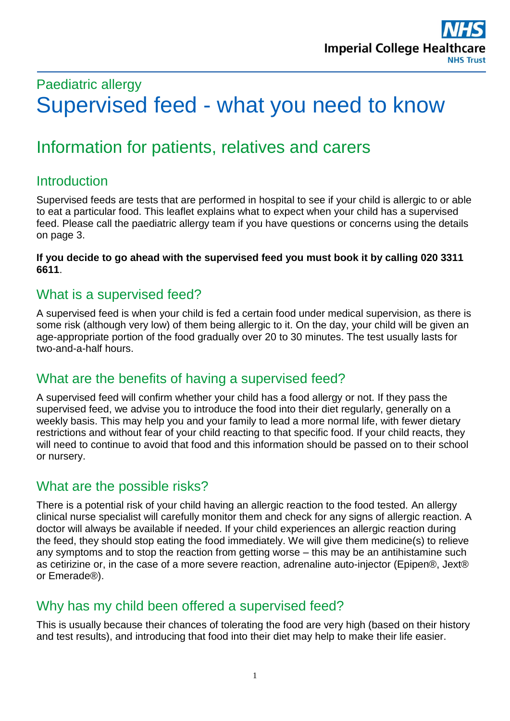# Paediatric allergy Supervised feed - what you need to know

# Information for patients, relatives and carers

# **Introduction**

Supervised feeds are tests that are performed in hospital to see if your child is allergic to or able to eat a particular food. This leaflet explains what to expect when your child has a supervised feed. Please call the paediatric allergy team if you have questions or concerns using the details on page 3.

#### **If you decide to go ahead with the supervised feed you must book it by calling 020 3311 6611**.

#### What is a supervised feed?

A supervised feed is when your child is fed a certain food under medical supervision, as there is some risk (although very low) of them being allergic to it. On the day, your child will be given an age-appropriate portion of the food gradually over 20 to 30 minutes. The test usually lasts for two-and-a-half hours.

#### What are the benefits of having a supervised feed?

A supervised feed will confirm whether your child has a food allergy or not. If they pass the supervised feed, we advise you to introduce the food into their diet regularly, generally on a weekly basis. This may help you and your family to lead a more normal life, with fewer dietary restrictions and without fear of your child reacting to that specific food. If your child reacts, they will need to continue to avoid that food and this information should be passed on to their school or nursery.

#### What are the possible risks?

There is a potential risk of your child having an allergic reaction to the food tested. An allergy clinical nurse specialist will carefully monitor them and check for any signs of allergic reaction. A doctor will always be available if needed. If your child experiences an allergic reaction during the feed, they should stop eating the food immediately. We will give them medicine(s) to relieve any symptoms and to stop the reaction from getting worse – this may be an antihistamine such as cetirizine or, in the case of a more severe reaction, adrenaline auto-injector (Epipen®, Jext® or Emerade®).

# Why has my child been offered a supervised feed?

This is usually because their chances of tolerating the food are very high (based on their history and test results), and introducing that food into their diet may help to make their life easier.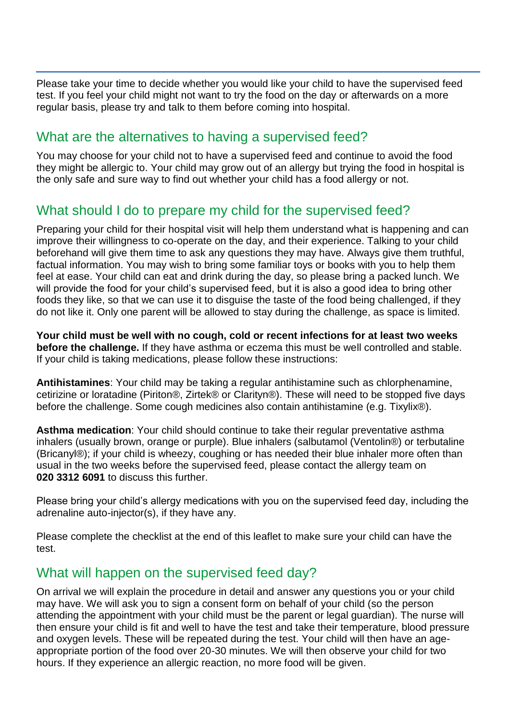Please take your time to decide whether you would like your child to have the supervised feed test. If you feel your child might not want to try the food on the day or afterwards on a more regular basis, please try and talk to them before coming into hospital.

#### What are the alternatives to having a supervised feed?

You may choose for your child not to have a supervised feed and continue to avoid the food they might be allergic to. Your child may grow out of an allergy but trying the food in hospital is the only safe and sure way to find out whether your child has a food allergy or not.

#### What should I do to prepare my child for the supervised feed?

Preparing your child for their hospital visit will help them understand what is happening and can improve their willingness to co-operate on the day, and their experience. Talking to your child beforehand will give them time to ask any questions they may have. Always give them truthful, factual information. You may wish to bring some familiar toys or books with you to help them feel at ease. Your child can eat and drink during the day, so please bring a packed lunch. We will provide the food for your child's supervised feed, but it is also a good idea to bring other foods they like, so that we can use it to disguise the taste of the food being challenged, if they do not like it. Only one parent will be allowed to stay during the challenge, as space is limited.

**Your child must be well with no cough, cold or recent infections for at least two weeks before the challenge.** If they have asthma or eczema this must be well controlled and stable. If your child is taking medications, please follow these instructions:

**Antihistamines**: Your child may be taking a regular antihistamine such as chlorphenamine, cetirizine or loratadine (Piriton®, Zirtek® or Clarityn®). These will need to be stopped five days before the challenge. Some cough medicines also contain antihistamine (e.g. Tixylix®).

**Asthma medication**: Your child should continue to take their regular preventative asthma inhalers (usually brown, orange or purple). Blue inhalers (salbutamol (Ventolin®) or terbutaline (Bricanyl®); if your child is wheezy, coughing or has needed their blue inhaler more often than usual in the two weeks before the supervised feed, please contact the allergy team on **020 3312 6091** to discuss this further.

Please bring your child's allergy medications with you on the supervised feed day, including the adrenaline auto-injector(s), if they have any.

Please complete the checklist at the end of this leaflet to make sure your child can have the test.

#### What will happen on the supervised feed day?

On arrival we will explain the procedure in detail and answer any questions you or your child may have. We will ask you to sign a consent form on behalf of your child (so the person attending the appointment with your child must be the parent or legal guardian). The nurse will then ensure your child is fit and well to have the test and take their temperature, blood pressure and oxygen levels. These will be repeated during the test. Your child will then have an ageappropriate portion of the food over 20-30 minutes. We will then observe your child for two hours. If they experience an allergic reaction, no more food will be given.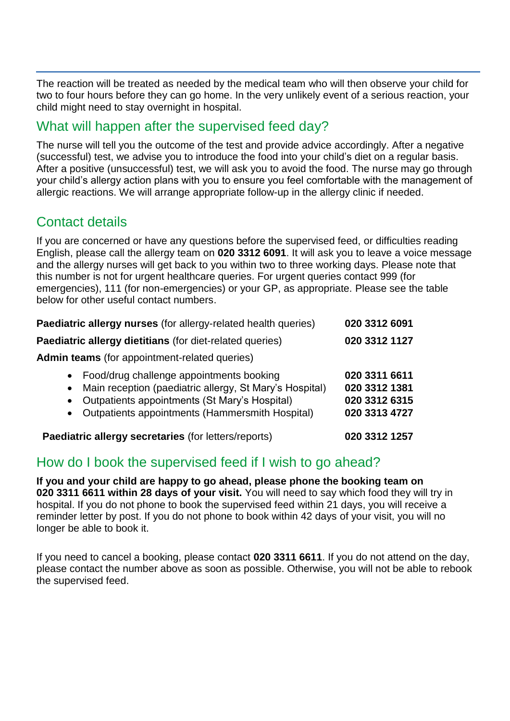The reaction will be treated as needed by the medical team who will then observe your child for two to four hours before they can go home. In the very unlikely event of a serious reaction, your child might need to stay overnight in hospital.

### What will happen after the supervised feed day?

The nurse will tell you the outcome of the test and provide advice accordingly. After a negative (successful) test, we advise you to introduce the food into your child's diet on a regular basis. After a positive (unsuccessful) test, we will ask you to avoid the food. The nurse may go through your child's allergy action plans with you to ensure you feel comfortable with the management of allergic reactions. We will arrange appropriate follow-up in the allergy clinic if needed.

# Contact details

If you are concerned or have any questions before the supervised feed, or difficulties reading English, please call the allergy team on **020 3312 6091**. It will ask you to leave a voice message and the allergy nurses will get back to you within two to three working days. Please note that this number is not for urgent healthcare queries. For urgent queries contact 999 (for emergencies), 111 (for non-emergencies) or your GP, as appropriate. Please see the table below for other useful contact numbers.

| Paediatric allergy nurses (for allergy-related health queries)                                                                                                                                                                        | 020 3312 6091                                                    |
|---------------------------------------------------------------------------------------------------------------------------------------------------------------------------------------------------------------------------------------|------------------------------------------------------------------|
| Paediatric allergy dietitians (for diet-related queries)                                                                                                                                                                              | 020 3312 1127                                                    |
| <b>Admin teams</b> (for appointment-related queries)                                                                                                                                                                                  |                                                                  |
| • Food/drug challenge appointments booking<br>• Main reception (paediatric allergy, St Mary's Hospital)<br>Outpatients appointments (St Mary's Hospital)<br>$\bullet$<br>Outpatients appointments (Hammersmith Hospital)<br>$\bullet$ | 020 3311 6611<br>020 3312 1381<br>020 3312 6315<br>020 3313 4727 |
| Paediatric allergy secretaries (for letters/reports)                                                                                                                                                                                  | 020 3312 1257                                                    |

#### How do I book the supervised feed if I wish to go ahead?

**If you and your child are happy to go ahead, please phone the booking team on 020 3311 6611 within 28 days of your visit.** You will need to say which food they will try in hospital. If you do not phone to book the supervised feed within 21 days, you will receive a reminder letter by post. If you do not phone to book within 42 days of your visit, you will no longer be able to book it.

If you need to cancel a booking, please contact **020 3311 6611**. If you do not attend on the day, please contact the number above as soon as possible. Otherwise, you will not be able to rebook the supervised feed.